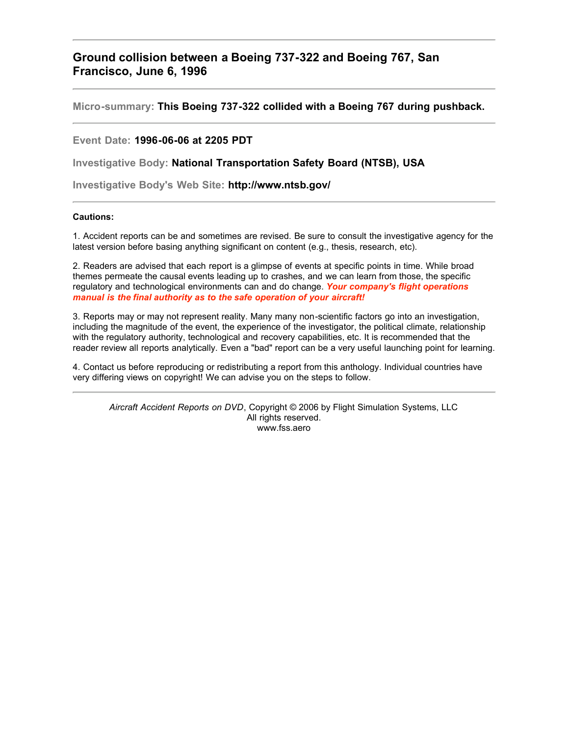## **Ground collision between a Boeing 737-322 and Boeing 767, San Francisco, June 6, 1996**

**Micro-summary: This Boeing 737-322 collided with a Boeing 767 during pushback.**

## **Event Date: 1996-06-06 at 2205 PDT**

**Investigative Body: National Transportation Safety Board (NTSB), USA**

**Investigative Body's Web Site: http://www.ntsb.gov/**

## **Cautions:**

1. Accident reports can be and sometimes are revised. Be sure to consult the investigative agency for the latest version before basing anything significant on content (e.g., thesis, research, etc).

2. Readers are advised that each report is a glimpse of events at specific points in time. While broad themes permeate the causal events leading up to crashes, and we can learn from those, the specific regulatory and technological environments can and do change. *Your company's flight operations manual is the final authority as to the safe operation of your aircraft!*

3. Reports may or may not represent reality. Many many non-scientific factors go into an investigation, including the magnitude of the event, the experience of the investigator, the political climate, relationship with the regulatory authority, technological and recovery capabilities, etc. It is recommended that the reader review all reports analytically. Even a "bad" report can be a very useful launching point for learning.

4. Contact us before reproducing or redistributing a report from this anthology. Individual countries have very differing views on copyright! We can advise you on the steps to follow.

*Aircraft Accident Reports on DVD*, Copyright © 2006 by Flight Simulation Systems, LLC All rights reserved. www.fss.aero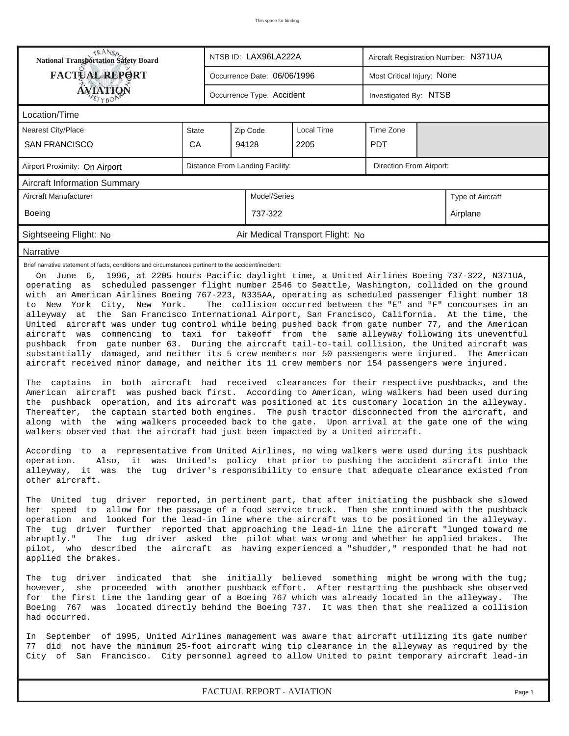| Occurrence Date: 06/06/1996<br>Occurrence Type: Accident<br>Local Time<br>2205<br>Model/Series<br>Air Medical Transport Flight: No                                                                                                                                                                                                                                                                                                                                                                                                                                                                                                                                                                                                                                                                                                                                                                                                                                                                                                                                                                                                                                                                                                                                                                                                                                                                                                                                                                                                                                                                                                                                                                                                                                                                                                                                                                                                                                                                                                                                                                                                                                                                                                                                                                                                                                                                                                                                                                                                                                                                                                                                                                                                                                                                                                                                                                                                                                                                                                                                                                                                                                                                                                                                        | Most Critical Injury: None<br>Investigated By: NTSB<br>Time Zone<br><b>PDT</b><br>Direction From Airport: | Type of Aircraft<br>Airplane                                                                       |  |  |  |  |  |  |  |
|---------------------------------------------------------------------------------------------------------------------------------------------------------------------------------------------------------------------------------------------------------------------------------------------------------------------------------------------------------------------------------------------------------------------------------------------------------------------------------------------------------------------------------------------------------------------------------------------------------------------------------------------------------------------------------------------------------------------------------------------------------------------------------------------------------------------------------------------------------------------------------------------------------------------------------------------------------------------------------------------------------------------------------------------------------------------------------------------------------------------------------------------------------------------------------------------------------------------------------------------------------------------------------------------------------------------------------------------------------------------------------------------------------------------------------------------------------------------------------------------------------------------------------------------------------------------------------------------------------------------------------------------------------------------------------------------------------------------------------------------------------------------------------------------------------------------------------------------------------------------------------------------------------------------------------------------------------------------------------------------------------------------------------------------------------------------------------------------------------------------------------------------------------------------------------------------------------------------------------------------------------------------------------------------------------------------------------------------------------------------------------------------------------------------------------------------------------------------------------------------------------------------------------------------------------------------------------------------------------------------------------------------------------------------------------------------------------------------------------------------------------------------------------------------------------------------------------------------------------------------------------------------------------------------------------------------------------------------------------------------------------------------------------------------------------------------------------------------------------------------------------------------------------------------------------------------------------------------------------------------------------------------------|-----------------------------------------------------------------------------------------------------------|----------------------------------------------------------------------------------------------------|--|--|--|--|--|--|--|
|                                                                                                                                                                                                                                                                                                                                                                                                                                                                                                                                                                                                                                                                                                                                                                                                                                                                                                                                                                                                                                                                                                                                                                                                                                                                                                                                                                                                                                                                                                                                                                                                                                                                                                                                                                                                                                                                                                                                                                                                                                                                                                                                                                                                                                                                                                                                                                                                                                                                                                                                                                                                                                                                                                                                                                                                                                                                                                                                                                                                                                                                                                                                                                                                                                                                           |                                                                                                           |                                                                                                    |  |  |  |  |  |  |  |
|                                                                                                                                                                                                                                                                                                                                                                                                                                                                                                                                                                                                                                                                                                                                                                                                                                                                                                                                                                                                                                                                                                                                                                                                                                                                                                                                                                                                                                                                                                                                                                                                                                                                                                                                                                                                                                                                                                                                                                                                                                                                                                                                                                                                                                                                                                                                                                                                                                                                                                                                                                                                                                                                                                                                                                                                                                                                                                                                                                                                                                                                                                                                                                                                                                                                           |                                                                                                           |                                                                                                    |  |  |  |  |  |  |  |
|                                                                                                                                                                                                                                                                                                                                                                                                                                                                                                                                                                                                                                                                                                                                                                                                                                                                                                                                                                                                                                                                                                                                                                                                                                                                                                                                                                                                                                                                                                                                                                                                                                                                                                                                                                                                                                                                                                                                                                                                                                                                                                                                                                                                                                                                                                                                                                                                                                                                                                                                                                                                                                                                                                                                                                                                                                                                                                                                                                                                                                                                                                                                                                                                                                                                           |                                                                                                           |                                                                                                    |  |  |  |  |  |  |  |
|                                                                                                                                                                                                                                                                                                                                                                                                                                                                                                                                                                                                                                                                                                                                                                                                                                                                                                                                                                                                                                                                                                                                                                                                                                                                                                                                                                                                                                                                                                                                                                                                                                                                                                                                                                                                                                                                                                                                                                                                                                                                                                                                                                                                                                                                                                                                                                                                                                                                                                                                                                                                                                                                                                                                                                                                                                                                                                                                                                                                                                                                                                                                                                                                                                                                           |                                                                                                           |                                                                                                    |  |  |  |  |  |  |  |
|                                                                                                                                                                                                                                                                                                                                                                                                                                                                                                                                                                                                                                                                                                                                                                                                                                                                                                                                                                                                                                                                                                                                                                                                                                                                                                                                                                                                                                                                                                                                                                                                                                                                                                                                                                                                                                                                                                                                                                                                                                                                                                                                                                                                                                                                                                                                                                                                                                                                                                                                                                                                                                                                                                                                                                                                                                                                                                                                                                                                                                                                                                                                                                                                                                                                           |                                                                                                           |                                                                                                    |  |  |  |  |  |  |  |
|                                                                                                                                                                                                                                                                                                                                                                                                                                                                                                                                                                                                                                                                                                                                                                                                                                                                                                                                                                                                                                                                                                                                                                                                                                                                                                                                                                                                                                                                                                                                                                                                                                                                                                                                                                                                                                                                                                                                                                                                                                                                                                                                                                                                                                                                                                                                                                                                                                                                                                                                                                                                                                                                                                                                                                                                                                                                                                                                                                                                                                                                                                                                                                                                                                                                           |                                                                                                           |                                                                                                    |  |  |  |  |  |  |  |
|                                                                                                                                                                                                                                                                                                                                                                                                                                                                                                                                                                                                                                                                                                                                                                                                                                                                                                                                                                                                                                                                                                                                                                                                                                                                                                                                                                                                                                                                                                                                                                                                                                                                                                                                                                                                                                                                                                                                                                                                                                                                                                                                                                                                                                                                                                                                                                                                                                                                                                                                                                                                                                                                                                                                                                                                                                                                                                                                                                                                                                                                                                                                                                                                                                                                           |                                                                                                           |                                                                                                    |  |  |  |  |  |  |  |
|                                                                                                                                                                                                                                                                                                                                                                                                                                                                                                                                                                                                                                                                                                                                                                                                                                                                                                                                                                                                                                                                                                                                                                                                                                                                                                                                                                                                                                                                                                                                                                                                                                                                                                                                                                                                                                                                                                                                                                                                                                                                                                                                                                                                                                                                                                                                                                                                                                                                                                                                                                                                                                                                                                                                                                                                                                                                                                                                                                                                                                                                                                                                                                                                                                                                           |                                                                                                           |                                                                                                    |  |  |  |  |  |  |  |
|                                                                                                                                                                                                                                                                                                                                                                                                                                                                                                                                                                                                                                                                                                                                                                                                                                                                                                                                                                                                                                                                                                                                                                                                                                                                                                                                                                                                                                                                                                                                                                                                                                                                                                                                                                                                                                                                                                                                                                                                                                                                                                                                                                                                                                                                                                                                                                                                                                                                                                                                                                                                                                                                                                                                                                                                                                                                                                                                                                                                                                                                                                                                                                                                                                                                           |                                                                                                           |                                                                                                    |  |  |  |  |  |  |  |
|                                                                                                                                                                                                                                                                                                                                                                                                                                                                                                                                                                                                                                                                                                                                                                                                                                                                                                                                                                                                                                                                                                                                                                                                                                                                                                                                                                                                                                                                                                                                                                                                                                                                                                                                                                                                                                                                                                                                                                                                                                                                                                                                                                                                                                                                                                                                                                                                                                                                                                                                                                                                                                                                                                                                                                                                                                                                                                                                                                                                                                                                                                                                                                                                                                                                           |                                                                                                           |                                                                                                    |  |  |  |  |  |  |  |
|                                                                                                                                                                                                                                                                                                                                                                                                                                                                                                                                                                                                                                                                                                                                                                                                                                                                                                                                                                                                                                                                                                                                                                                                                                                                                                                                                                                                                                                                                                                                                                                                                                                                                                                                                                                                                                                                                                                                                                                                                                                                                                                                                                                                                                                                                                                                                                                                                                                                                                                                                                                                                                                                                                                                                                                                                                                                                                                                                                                                                                                                                                                                                                                                                                                                           |                                                                                                           |                                                                                                    |  |  |  |  |  |  |  |
| Brief narrative statement of facts, conditions and circumstances pertinent to the accident/incident:<br>On June 6, 1996, at 2205 hours Pacific daylight time, a United Airlines Boeing 737-322, N371UA,<br>operating as scheduled passenger flight number 2546 to Seattle, Washington, collided on the ground<br>with an American Airlines Boeing 767-223, N335AA, operating as scheduled passenger flight number 18<br>to New York City, New York.<br>The collision occurred between the "E" and "F" concourses in an<br>alleyway at the San Francisco International Airport, San Francisco, California. At the time, the<br>United aircraft was under tug control while being pushed back from gate number 77, and the American<br>aircraft was commencing to taxi for takeoff from the same alleyway following its uneventful<br>pushback from gate number 63. During the aircraft tail-to-tail collision, the United aircraft was<br>substantially damaged, and neither its 5 crew members nor 50 passengers were injured. The American<br>aircraft received minor damage, and neither its 11 crew members nor 154 passengers were injured.<br>The captains in both aircraft had received clearances for their respective pushbacks, and the<br>American aircraft was pushed back first. According to American, wing walkers had been used during<br>the pushback operation, and its aircraft was positioned at its customary location in the alleyway.<br>Thereafter, the captain started both engines. The push tractor disconnected from the aircraft, and<br>along with the wing walkers proceeded back to the gate. Upon arrival at the gate one of the wing<br>walkers observed that the aircraft had just been impacted by a United aircraft.<br>According to a representative from United Airlines, no wing walkers were used during its pushback<br>operation. Also, it was United's policy that prior to pushing the accident aircraft into the<br>alleyway, it was the tug driver's responsibility to ensure that adequate clearance existed from<br>other aircraft.<br>The United tug driver reported, in pertinent part, that after initiating the pushback she slowed<br>her speed to allow for the passage of a food service truck. Then she continued with the pushback<br>operation and looked for the lead-in line where the aircraft was to be positioned in the alleyway.<br>The tug driver further reported that approaching the lead-in line the aircraft "lunged toward me<br>abruptly."<br>The tug driver asked the pilot what was wrong and whether he applied brakes.<br>The<br>pilot, who described the aircraft as having experienced a "shudder," responded that he had not<br>applied the brakes.<br>The tug driver indicated that she initially believed something might be wrong with the tug;<br>however, she proceeded with another pushback effort. After restarting the pushback she observed<br>for the first time the landing gear of a Boeing 767 which was already located in the alleyway.<br>The<br>Boeing 767 was located directly behind the Boeing 737. It was then that she realized a collision<br>had occurred.<br>In September of 1995, United Airlines management was aware that aircraft utilizing its gate number |                                                                                                           |                                                                                                    |  |  |  |  |  |  |  |
|                                                                                                                                                                                                                                                                                                                                                                                                                                                                                                                                                                                                                                                                                                                                                                                                                                                                                                                                                                                                                                                                                                                                                                                                                                                                                                                                                                                                                                                                                                                                                                                                                                                                                                                                                                                                                                                                                                                                                                                                                                                                                                                                                                                                                                                                                                                                                                                                                                                                                                                                                                                                                                                                                                                                                                                                                                                                                                                                                                                                                                                                                                                                                                                                                                                                           |                                                                                                           | 77 did not have the minimum 25-foot aircraft wing tip clearance in the alleyway as required by the |  |  |  |  |  |  |  |

*FACTUAL REPORT - AVIATION Page 1*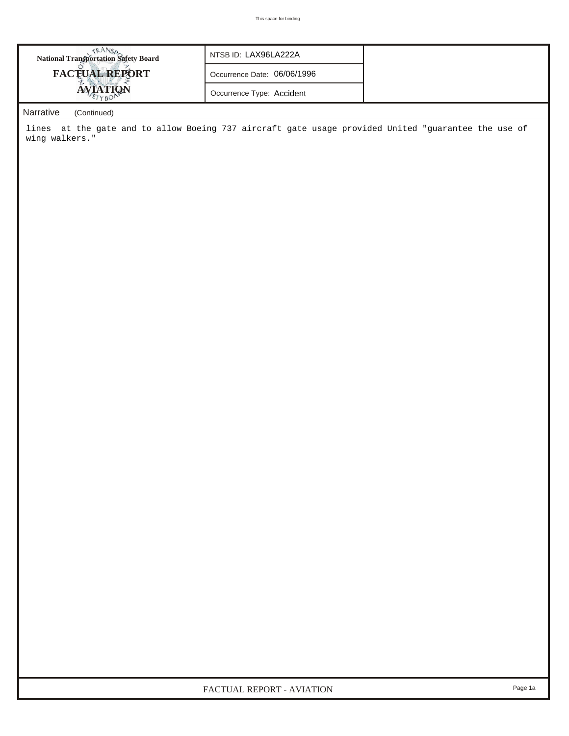| <b>National Transportation Safety Board</b>                                                                                                                         | NTSB ID: LAX96LA222A        |  |
|---------------------------------------------------------------------------------------------------------------------------------------------------------------------|-----------------------------|--|
| <b>FACTUAL REPORT</b>                                                                                                                                               | Occurrence Date: 06/06/1996 |  |
| <b>AVIATION</b>                                                                                                                                                     | Occurrence Type: Accident   |  |
| $\mathbf{A} \mathbf{I}$ and $\mathbf{A} \mathbf{I}$ and $\mathbf{A} \mathbf{I}$ and $\mathbf{A} \mathbf{I}$ and $\mathbf{A} \mathbf{I}$ and $\mathbf{A} \mathbf{I}$ |                             |  |

## *Narrative (Continued)*

lines at the gate and to allow Boeing 737 aircraft gate usage provided United "guarantee the use of wing walkers."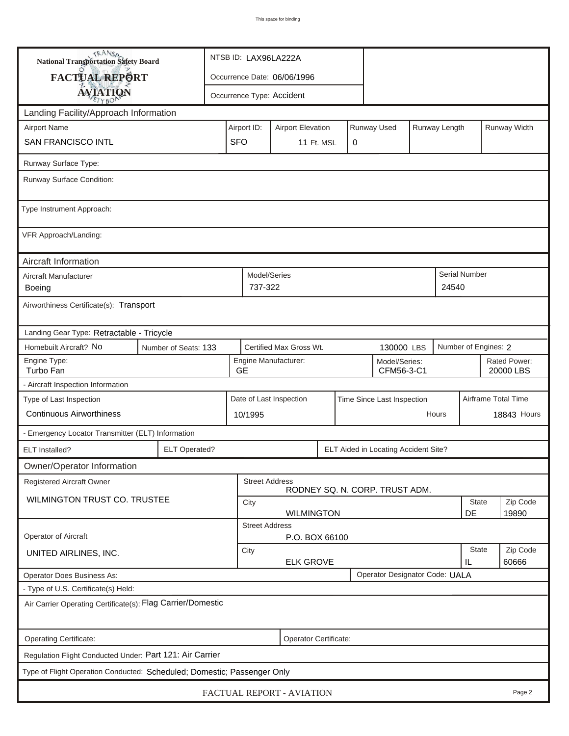| <b>National Transportation Safety Board</b>                             |                                                           | NTSB ID: LAX96LA222A                                    |                                                       |                          |  |                                                               |                                      |                    |                     |               |              |  |
|-------------------------------------------------------------------------|-----------------------------------------------------------|---------------------------------------------------------|-------------------------------------------------------|--------------------------|--|---------------------------------------------------------------|--------------------------------------|--------------------|---------------------|---------------|--------------|--|
|                                                                         | FACTUAL REPORT<br>Occurrence Date: 06/06/1996             |                                                         |                                                       |                          |  |                                                               |                                      |                    |                     |               |              |  |
| <b>AVIATION</b>                                                         |                                                           | Occurrence Type: Accident                               |                                                       |                          |  |                                                               |                                      |                    |                     |               |              |  |
| Landing Facility/Approach Information                                   |                                                           |                                                         |                                                       |                          |  |                                                               |                                      |                    |                     |               |              |  |
| <b>Airport Name</b>                                                     |                                                           | Airport ID:                                             |                                                       | <b>Airport Elevation</b> |  |                                                               | Runway Used                          |                    | Runway Length       |               | Runway Width |  |
| <b>SAN FRANCISCO INTL</b>                                               |                                                           | <b>SFO</b>                                              | 11 Ft. MSL<br>0                                       |                          |  |                                                               |                                      |                    |                     |               |              |  |
| Runway Surface Type:                                                    |                                                           |                                                         |                                                       |                          |  |                                                               |                                      |                    |                     |               |              |  |
| Runway Surface Condition:                                               |                                                           |                                                         |                                                       |                          |  |                                                               |                                      |                    |                     |               |              |  |
| Type Instrument Approach:                                               |                                                           |                                                         |                                                       |                          |  |                                                               |                                      |                    |                     |               |              |  |
| VFR Approach/Landing:                                                   |                                                           |                                                         |                                                       |                          |  |                                                               |                                      |                    |                     |               |              |  |
| Aircraft Information                                                    |                                                           |                                                         | Model/Series                                          |                          |  |                                                               |                                      |                    |                     |               |              |  |
| Aircraft Manufacturer<br>Boeing                                         |                                                           |                                                         |                                                       |                          |  |                                                               |                                      |                    | 24540               | Serial Number |              |  |
| Airworthiness Certificate(s): Transport                                 |                                                           |                                                         |                                                       |                          |  |                                                               |                                      |                    |                     |               |              |  |
| Landing Gear Type: Retractable - Tricycle                               |                                                           |                                                         |                                                       |                          |  |                                                               |                                      |                    |                     |               |              |  |
| Homebuilt Aircraft? No                                                  | Number of Seats: 133                                      |                                                         |                                                       |                          |  | Certified Max Gross Wt.<br>Number of Engines: 2<br>130000 LBS |                                      |                    |                     |               |              |  |
| Engine Type:<br>Turbo Fan                                               | <b>GE</b>                                                 | Engine Manufacturer:<br>Model/Series:<br>CFM56-3-C1     |                                                       |                          |  |                                                               | Rated Power:<br>20000 LBS            |                    |                     |               |              |  |
| - Aircraft Inspection Information                                       |                                                           |                                                         |                                                       |                          |  |                                                               |                                      |                    |                     |               |              |  |
| Type of Last Inspection                                                 |                                                           |                                                         | Date of Last Inspection<br>Time Since Last Inspection |                          |  |                                                               |                                      |                    | Airframe Total Time |               |              |  |
| <b>Continuous Airworthiness</b>                                         |                                                           |                                                         | Hours<br>10/1995                                      |                          |  |                                                               |                                      |                    | <b>18843 Hours</b>  |               |              |  |
| - Emergency Locator Transmitter (ELT) Information                       |                                                           |                                                         |                                                       |                          |  |                                                               |                                      |                    |                     |               |              |  |
| ELT Installed?                                                          | <b>ELT Operated?</b>                                      |                                                         |                                                       |                          |  |                                                               | ELT Aided in Locating Accident Site? |                    |                     |               |              |  |
| Owner/Operator Information                                              |                                                           |                                                         |                                                       |                          |  |                                                               |                                      |                    |                     |               |              |  |
| Registered Aircraft Owner                                               |                                                           | <b>Street Address</b><br>RODNEY SQ. N. CORP. TRUST ADM. |                                                       |                          |  |                                                               |                                      |                    |                     |               |              |  |
| WILMINGTON TRUST CO. TRUSTEE                                            |                                                           | State<br>City                                           |                                                       |                          |  |                                                               |                                      |                    | Zip Code            |               |              |  |
|                                                                         | DE<br>19890<br><b>WILMINGTON</b><br><b>Street Address</b> |                                                         |                                                       |                          |  |                                                               |                                      |                    |                     |               |              |  |
| Operator of Aircraft                                                    | P.O. BOX 66100                                            |                                                         |                                                       |                          |  |                                                               |                                      |                    |                     |               |              |  |
| UNITED AIRLINES, INC.                                                   | City<br><b>ELK GROVE</b>                                  |                                                         |                                                       |                          |  |                                                               |                                      | <b>State</b><br>IL | Zip Code<br>60666   |               |              |  |
| <b>Operator Does Business As:</b>                                       | Operator Designator Code: UALA                            |                                                         |                                                       |                          |  |                                                               |                                      |                    |                     |               |              |  |
| - Type of U.S. Certificate(s) Held:                                     |                                                           |                                                         |                                                       |                          |  |                                                               |                                      |                    |                     |               |              |  |
| Air Carrier Operating Certificate(s): Flag Carrier/Domestic             |                                                           |                                                         |                                                       |                          |  |                                                               |                                      |                    |                     |               |              |  |
| Operating Certificate:                                                  |                                                           |                                                         |                                                       | Operator Certificate:    |  |                                                               |                                      |                    |                     |               |              |  |
| Regulation Flight Conducted Under: Part 121: Air Carrier                |                                                           |                                                         |                                                       |                          |  |                                                               |                                      |                    |                     |               |              |  |
| Type of Flight Operation Conducted: Scheduled; Domestic; Passenger Only |                                                           |                                                         |                                                       |                          |  |                                                               |                                      |                    |                     |               |              |  |
| FACTUAL REPORT - AVIATION<br>Page 2                                     |                                                           |                                                         |                                                       |                          |  |                                                               |                                      |                    |                     |               |              |  |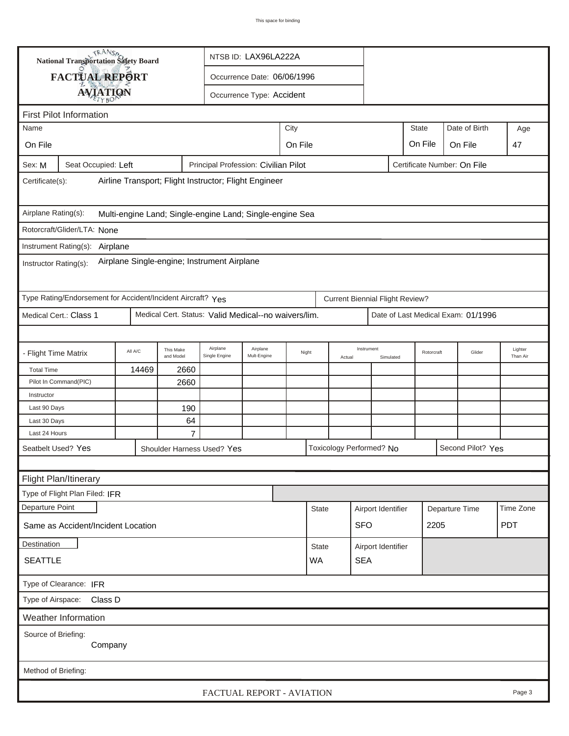| TRANSA<br>NTSB ID: LAX96LA222A<br><b>National Transportation Safety Board</b>                         |                                                                                                                   |  |                      |                                      |       |  |              |                         |                          |                    |                             |                |                                    |            |
|-------------------------------------------------------------------------------------------------------|-------------------------------------------------------------------------------------------------------------------|--|----------------------|--------------------------------------|-------|--|--------------|-------------------------|--------------------------|--------------------|-----------------------------|----------------|------------------------------------|------------|
| FACTUAL REPORT<br>Occurrence Date: 06/06/1996                                                         |                                                                                                                   |  |                      |                                      |       |  |              |                         |                          |                    |                             |                |                                    |            |
|                                                                                                       | <b>AVIATION</b><br>Occurrence Type: Accident                                                                      |  |                      |                                      |       |  |              |                         |                          |                    |                             |                |                                    |            |
| <b>First Pilot Information</b>                                                                        |                                                                                                                   |  |                      |                                      |       |  |              |                         |                          |                    |                             |                |                                    |            |
| City<br><b>State</b><br>Date of Birth<br>Name<br>Age                                                  |                                                                                                                   |  |                      |                                      |       |  |              |                         |                          |                    |                             |                |                                    |            |
| On File<br>On File                                                                                    |                                                                                                                   |  |                      |                                      |       |  |              |                         |                          |                    | On File                     |                | On File                            |            |
|                                                                                                       |                                                                                                                   |  |                      |                                      |       |  |              |                         |                          |                    |                             |                |                                    | 47         |
| Sex: M                                                                                                | Seat Occupied: Left                                                                                               |  |                      | Principal Profession: Civilian Pilot |       |  |              |                         |                          |                    | Certificate Number: On File |                |                                    |            |
| Airline Transport; Flight Instructor; Flight Engineer<br>Certificate(s):                              |                                                                                                                   |  |                      |                                      |       |  |              |                         |                          |                    |                             |                |                                    |            |
| Airplane Rating(s):<br>Multi-engine Land; Single-engine Land; Single-engine Sea                       |                                                                                                                   |  |                      |                                      |       |  |              |                         |                          |                    |                             |                |                                    |            |
| Rotorcraft/Glider/LTA: None                                                                           |                                                                                                                   |  |                      |                                      |       |  |              |                         |                          |                    |                             |                |                                    |            |
| Instrument Rating(s): Airplane                                                                        |                                                                                                                   |  |                      |                                      |       |  |              |                         |                          |                    |                             |                |                                    |            |
| Airplane Single-engine; Instrument Airplane<br>Instructor Rating(s):                                  |                                                                                                                   |  |                      |                                      |       |  |              |                         |                          |                    |                             |                |                                    |            |
| Type Rating/Endorsement for Accident/Incident Aircraft? Yes<br><b>Current Biennial Flight Review?</b> |                                                                                                                   |  |                      |                                      |       |  |              |                         |                          |                    |                             |                |                                    |            |
| Medical Cert. Status: Valid Medical--no waivers/lim.<br>Medical Cert.: Class 1                        |                                                                                                                   |  |                      |                                      |       |  |              |                         |                          |                    |                             |                | Date of Last Medical Exam: 01/1996 |            |
|                                                                                                       |                                                                                                                   |  |                      |                                      |       |  |              |                         |                          |                    |                             |                |                                    |            |
|                                                                                                       | Airplane<br>Airplane<br>This Make<br>All A/C<br>- Flight Time Matrix<br>Mult-Engine<br>and Model<br>Single Engine |  |                      |                                      | Night |  | Actual       | Instrument<br>Simulated |                          | Rotorcraft         |                             | Glider         | Lighter<br>Than Air                |            |
| <b>Total Time</b>                                                                                     | 14469<br>2660                                                                                                     |  |                      |                                      |       |  |              |                         |                          |                    |                             |                |                                    |            |
| Pilot In Command(PIC)<br>2660                                                                         |                                                                                                                   |  |                      |                                      |       |  |              |                         |                          |                    |                             |                |                                    |            |
| Instructor                                                                                            |                                                                                                                   |  |                      |                                      |       |  |              |                         |                          |                    |                             |                |                                    |            |
| Last 90 Days                                                                                          |                                                                                                                   |  | 190                  |                                      |       |  |              |                         |                          |                    |                             |                |                                    |            |
| Last 30 Days<br>Last 24 Hours                                                                         |                                                                                                                   |  | 64<br>$\overline{7}$ |                                      |       |  |              |                         |                          |                    |                             |                |                                    |            |
|                                                                                                       |                                                                                                                   |  |                      |                                      |       |  |              |                         |                          |                    |                             |                |                                    |            |
| Seatbelt Used? Yes<br>Shoulder Harness Used? Yes                                                      |                                                                                                                   |  |                      |                                      |       |  |              |                         | Toxicology Performed? No |                    |                             |                | Second Pilot? Yes                  |            |
|                                                                                                       |                                                                                                                   |  |                      |                                      |       |  |              |                         |                          |                    |                             |                |                                    |            |
|                                                                                                       | Flight Plan/Itinerary                                                                                             |  |                      |                                      |       |  |              |                         |                          |                    |                             |                |                                    |            |
|                                                                                                       | Type of Flight Plan Filed: IFR                                                                                    |  |                      |                                      |       |  |              |                         |                          |                    |                             |                |                                    |            |
| Departure Point                                                                                       |                                                                                                                   |  |                      |                                      |       |  | State        |                         |                          | Airport Identifier |                             | Departure Time |                                    | Time Zone  |
| Same as Accident/Incident Location                                                                    |                                                                                                                   |  |                      |                                      |       |  |              |                         | <b>SFO</b>               |                    |                             | 2205           |                                    | <b>PDT</b> |
| Destination                                                                                           |                                                                                                                   |  |                      |                                      |       |  | <b>State</b> |                         | Airport Identifier       |                    |                             |                |                                    |            |
| <b>SEATTLE</b>                                                                                        |                                                                                                                   |  |                      |                                      |       |  | <b>WA</b>    |                         | <b>SEA</b>               |                    |                             |                |                                    |            |
| Type of Clearance: IFR                                                                                |                                                                                                                   |  |                      |                                      |       |  |              |                         |                          |                    |                             |                |                                    |            |
|                                                                                                       | Type of Airspace: Class D                                                                                         |  |                      |                                      |       |  |              |                         |                          |                    |                             |                |                                    |            |
|                                                                                                       | <b>Weather Information</b>                                                                                        |  |                      |                                      |       |  |              |                         |                          |                    |                             |                |                                    |            |
| Source of Briefing:                                                                                   | Company                                                                                                           |  |                      |                                      |       |  |              |                         |                          |                    |                             |                |                                    |            |
|                                                                                                       |                                                                                                                   |  |                      |                                      |       |  |              |                         |                          |                    |                             |                |                                    |            |
|                                                                                                       | Method of Briefing:<br>FACTUAL REPORT - AVIATION<br>Page 3                                                        |  |                      |                                      |       |  |              |                         |                          |                    |                             |                |                                    |            |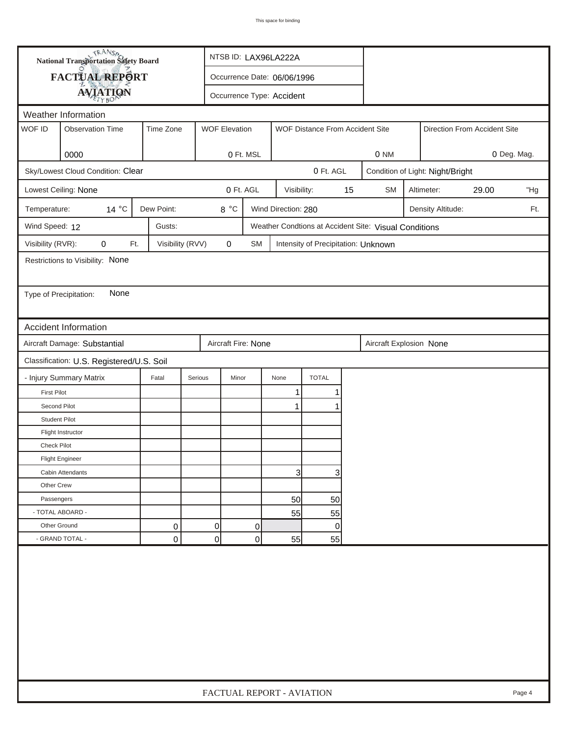| FACTUAL REPORT<br>Occurrence Date: 06/06/1996<br><b>AVIATION</b><br>Occurrence Type: Accident<br>Weather Information<br>WOF ID<br>Time Zone<br><b>Observation Time</b><br><b>WOF Elevation</b><br>WOF Distance From Accident Site<br>Direction From Accident Site<br>0000<br>0 Ft. MSL<br>0 NM<br>Sky/Lowest Cloud Condition: Clear<br>0 Ft. AGL<br>Condition of Light: Night/Bright<br>0 Ft. AGL<br>15<br>Lowest Ceiling: None<br>Visibility:<br><b>SM</b><br>Altimeter:<br>29.00<br>$14^{\circ}$ C<br>Dew Point:<br>8 °C<br>Temperature:<br>Wind Direction: 280<br>Density Altitude:<br>Wind Speed: 12<br>Gusts:<br>Weather Condtions at Accident Site: Visual Conditions<br>Visibility (RVR):<br>0<br>Ft.<br>Visibility (RVV)<br>0<br><b>SM</b><br>Intensity of Precipitation: Unknown<br>Restrictions to Visibility: None<br>None<br>Type of Precipitation:<br><b>Accident Information</b><br>Aircraft Damage: Substantial<br>Aircraft Fire: None<br>Aircraft Explosion None<br>Classification: U.S. Registered/U.S. Soil<br>- Injury Summary Matrix<br><b>TOTAL</b><br>Fatal<br>Serious<br>Minor<br>None<br><b>First Pilot</b><br>1<br>Second Pilot<br>1<br><b>Student Pilot</b><br>Flight Instructor<br>Check Pilot |  | <b>National Transportation Safety Board</b> |  |  |  |  | NTSB ID: LAX96LA222A      |  |  |  |     |  |  |        |
|---------------------------------------------------------------------------------------------------------------------------------------------------------------------------------------------------------------------------------------------------------------------------------------------------------------------------------------------------------------------------------------------------------------------------------------------------------------------------------------------------------------------------------------------------------------------------------------------------------------------------------------------------------------------------------------------------------------------------------------------------------------------------------------------------------------------------------------------------------------------------------------------------------------------------------------------------------------------------------------------------------------------------------------------------------------------------------------------------------------------------------------------------------------------------------------------------------------------------|--|---------------------------------------------|--|--|--|--|---------------------------|--|--|--|-----|--|--|--------|
|                                                                                                                                                                                                                                                                                                                                                                                                                                                                                                                                                                                                                                                                                                                                                                                                                                                                                                                                                                                                                                                                                                                                                                                                                           |  |                                             |  |  |  |  |                           |  |  |  |     |  |  |        |
|                                                                                                                                                                                                                                                                                                                                                                                                                                                                                                                                                                                                                                                                                                                                                                                                                                                                                                                                                                                                                                                                                                                                                                                                                           |  |                                             |  |  |  |  |                           |  |  |  |     |  |  |        |
|                                                                                                                                                                                                                                                                                                                                                                                                                                                                                                                                                                                                                                                                                                                                                                                                                                                                                                                                                                                                                                                                                                                                                                                                                           |  |                                             |  |  |  |  |                           |  |  |  |     |  |  |        |
|                                                                                                                                                                                                                                                                                                                                                                                                                                                                                                                                                                                                                                                                                                                                                                                                                                                                                                                                                                                                                                                                                                                                                                                                                           |  |                                             |  |  |  |  |                           |  |  |  |     |  |  |        |
|                                                                                                                                                                                                                                                                                                                                                                                                                                                                                                                                                                                                                                                                                                                                                                                                                                                                                                                                                                                                                                                                                                                                                                                                                           |  |                                             |  |  |  |  |                           |  |  |  |     |  |  |        |
|                                                                                                                                                                                                                                                                                                                                                                                                                                                                                                                                                                                                                                                                                                                                                                                                                                                                                                                                                                                                                                                                                                                                                                                                                           |  | 0 Deg. Mag.                                 |  |  |  |  |                           |  |  |  |     |  |  |        |
|                                                                                                                                                                                                                                                                                                                                                                                                                                                                                                                                                                                                                                                                                                                                                                                                                                                                                                                                                                                                                                                                                                                                                                                                                           |  |                                             |  |  |  |  |                           |  |  |  |     |  |  |        |
|                                                                                                                                                                                                                                                                                                                                                                                                                                                                                                                                                                                                                                                                                                                                                                                                                                                                                                                                                                                                                                                                                                                                                                                                                           |  |                                             |  |  |  |  |                           |  |  |  | "Hg |  |  |        |
|                                                                                                                                                                                                                                                                                                                                                                                                                                                                                                                                                                                                                                                                                                                                                                                                                                                                                                                                                                                                                                                                                                                                                                                                                           |  |                                             |  |  |  |  |                           |  |  |  | Ft. |  |  |        |
|                                                                                                                                                                                                                                                                                                                                                                                                                                                                                                                                                                                                                                                                                                                                                                                                                                                                                                                                                                                                                                                                                                                                                                                                                           |  |                                             |  |  |  |  |                           |  |  |  |     |  |  |        |
|                                                                                                                                                                                                                                                                                                                                                                                                                                                                                                                                                                                                                                                                                                                                                                                                                                                                                                                                                                                                                                                                                                                                                                                                                           |  |                                             |  |  |  |  |                           |  |  |  |     |  |  |        |
|                                                                                                                                                                                                                                                                                                                                                                                                                                                                                                                                                                                                                                                                                                                                                                                                                                                                                                                                                                                                                                                                                                                                                                                                                           |  |                                             |  |  |  |  |                           |  |  |  |     |  |  |        |
|                                                                                                                                                                                                                                                                                                                                                                                                                                                                                                                                                                                                                                                                                                                                                                                                                                                                                                                                                                                                                                                                                                                                                                                                                           |  |                                             |  |  |  |  |                           |  |  |  |     |  |  |        |
|                                                                                                                                                                                                                                                                                                                                                                                                                                                                                                                                                                                                                                                                                                                                                                                                                                                                                                                                                                                                                                                                                                                                                                                                                           |  |                                             |  |  |  |  |                           |  |  |  |     |  |  |        |
|                                                                                                                                                                                                                                                                                                                                                                                                                                                                                                                                                                                                                                                                                                                                                                                                                                                                                                                                                                                                                                                                                                                                                                                                                           |  |                                             |  |  |  |  |                           |  |  |  |     |  |  |        |
|                                                                                                                                                                                                                                                                                                                                                                                                                                                                                                                                                                                                                                                                                                                                                                                                                                                                                                                                                                                                                                                                                                                                                                                                                           |  |                                             |  |  |  |  |                           |  |  |  |     |  |  |        |
|                                                                                                                                                                                                                                                                                                                                                                                                                                                                                                                                                                                                                                                                                                                                                                                                                                                                                                                                                                                                                                                                                                                                                                                                                           |  |                                             |  |  |  |  |                           |  |  |  |     |  |  |        |
|                                                                                                                                                                                                                                                                                                                                                                                                                                                                                                                                                                                                                                                                                                                                                                                                                                                                                                                                                                                                                                                                                                                                                                                                                           |  |                                             |  |  |  |  |                           |  |  |  |     |  |  |        |
|                                                                                                                                                                                                                                                                                                                                                                                                                                                                                                                                                                                                                                                                                                                                                                                                                                                                                                                                                                                                                                                                                                                                                                                                                           |  |                                             |  |  |  |  |                           |  |  |  |     |  |  |        |
|                                                                                                                                                                                                                                                                                                                                                                                                                                                                                                                                                                                                                                                                                                                                                                                                                                                                                                                                                                                                                                                                                                                                                                                                                           |  |                                             |  |  |  |  |                           |  |  |  |     |  |  |        |
|                                                                                                                                                                                                                                                                                                                                                                                                                                                                                                                                                                                                                                                                                                                                                                                                                                                                                                                                                                                                                                                                                                                                                                                                                           |  |                                             |  |  |  |  |                           |  |  |  |     |  |  |        |
|                                                                                                                                                                                                                                                                                                                                                                                                                                                                                                                                                                                                                                                                                                                                                                                                                                                                                                                                                                                                                                                                                                                                                                                                                           |  |                                             |  |  |  |  |                           |  |  |  |     |  |  |        |
|                                                                                                                                                                                                                                                                                                                                                                                                                                                                                                                                                                                                                                                                                                                                                                                                                                                                                                                                                                                                                                                                                                                                                                                                                           |  |                                             |  |  |  |  |                           |  |  |  |     |  |  |        |
|                                                                                                                                                                                                                                                                                                                                                                                                                                                                                                                                                                                                                                                                                                                                                                                                                                                                                                                                                                                                                                                                                                                                                                                                                           |  |                                             |  |  |  |  |                           |  |  |  |     |  |  |        |
| <b>Flight Engineer</b>                                                                                                                                                                                                                                                                                                                                                                                                                                                                                                                                                                                                                                                                                                                                                                                                                                                                                                                                                                                                                                                                                                                                                                                                    |  |                                             |  |  |  |  |                           |  |  |  |     |  |  |        |
| 3<br>3<br>Cabin Attendants                                                                                                                                                                                                                                                                                                                                                                                                                                                                                                                                                                                                                                                                                                                                                                                                                                                                                                                                                                                                                                                                                                                                                                                                |  |                                             |  |  |  |  |                           |  |  |  |     |  |  |        |
| Other Crew                                                                                                                                                                                                                                                                                                                                                                                                                                                                                                                                                                                                                                                                                                                                                                                                                                                                                                                                                                                                                                                                                                                                                                                                                |  |                                             |  |  |  |  |                           |  |  |  |     |  |  |        |
| Passengers<br>50<br>50                                                                                                                                                                                                                                                                                                                                                                                                                                                                                                                                                                                                                                                                                                                                                                                                                                                                                                                                                                                                                                                                                                                                                                                                    |  |                                             |  |  |  |  |                           |  |  |  |     |  |  |        |
| - TOTAL ABOARD -<br>55<br>55                                                                                                                                                                                                                                                                                                                                                                                                                                                                                                                                                                                                                                                                                                                                                                                                                                                                                                                                                                                                                                                                                                                                                                                              |  |                                             |  |  |  |  |                           |  |  |  |     |  |  |        |
| Other Ground<br>0<br>0<br>0<br>0                                                                                                                                                                                                                                                                                                                                                                                                                                                                                                                                                                                                                                                                                                                                                                                                                                                                                                                                                                                                                                                                                                                                                                                          |  |                                             |  |  |  |  |                           |  |  |  |     |  |  |        |
| $\overline{0}$<br>- GRAND TOTAL -<br>$\mathbf 0$<br>0<br>55<br>55                                                                                                                                                                                                                                                                                                                                                                                                                                                                                                                                                                                                                                                                                                                                                                                                                                                                                                                                                                                                                                                                                                                                                         |  |                                             |  |  |  |  |                           |  |  |  |     |  |  |        |
|                                                                                                                                                                                                                                                                                                                                                                                                                                                                                                                                                                                                                                                                                                                                                                                                                                                                                                                                                                                                                                                                                                                                                                                                                           |  |                                             |  |  |  |  | FACTUAL REPORT - AVIATION |  |  |  |     |  |  | Page 4 |